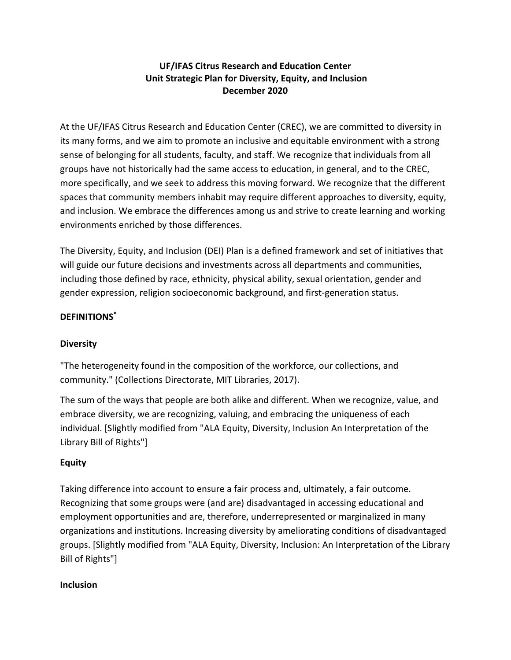## **UF/IFAS Citrus Research and Education Center Unit Strategic Plan for Diversity, Equity, and Inclusion December 2020**

At the UF/IFAS Citrus Research and Education Center (CREC), we are committed to diversity in its many forms, and we aim to promote an inclusive and equitable environment with a strong sense of belonging for all students, faculty, and staff. We recognize that individuals from all groups have not historically had the same access to education, in general, and to the CREC, more specifically, and we seek to address this moving forward. We recognize that the different spaces that community members inhabit may require different approaches to diversity, equity, and inclusion. We embrace the differences among us and strive to create learning and working environments enriched by those differences.

The Diversity, Equity, and Inclusion (DEI) Plan is a defined framework and set of initiatives that will guide our future decisions and investments across all departments and communities, including those defined by race, ethnicity, physical ability, sexual orientation, gender and gender expression, religion socioeconomic background, and first-generation status.

## **DEFINITIONS\***

### **Diversity**

"The heterogeneity found in the composition of the workforce, our collections, and community." (Collections Directorate, MIT Libraries, 2017).

The sum of the ways that people are both alike and different. When we recognize, value, and embrace diversity, we are recognizing, valuing, and embracing the uniqueness of each individual. [Slightly modified from "ALA Equity, Diversity, Inclusion An Interpretation of the Library Bill of Rights"]

### **Equity**

Taking difference into account to ensure a fair process and, ultimately, a fair outcome. Recognizing that some groups were (and are) disadvantaged in accessing educational and employment opportunities and are, therefore, underrepresented or marginalized in many organizations and institutions. Increasing diversity by ameliorating conditions of disadvantaged groups. [Slightly modified from "ALA Equity, Diversity, Inclusion: An Interpretation of the Library Bill of Rights"]

#### **Inclusion**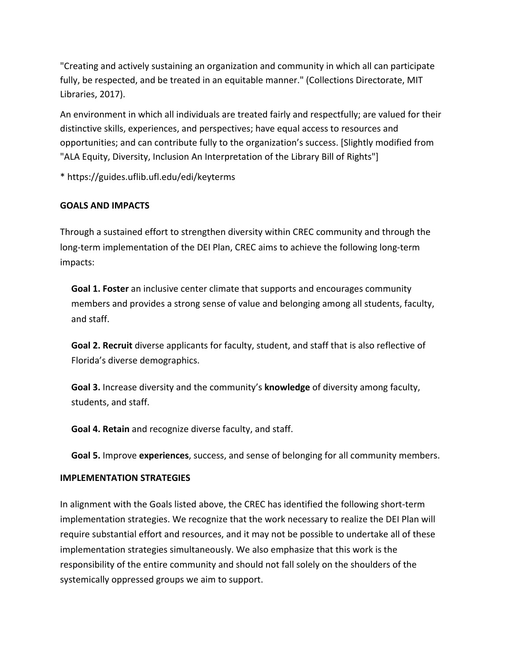"Creating and actively sustaining an organization and community in which all can participate fully, be respected, and be treated in an equitable manner." (Collections Directorate, MIT Libraries, 2017).

An environment in which all individuals are treated fairly and respectfully; are valued for their distinctive skills, experiences, and perspectives; have equal access to resources and opportunities; and can contribute fully to the organization's success. [Slightly modified from "ALA Equity, Diversity, Inclusion An Interpretation of the Library Bill of Rights"]

\* https://guides.uflib.ufl.edu/edi/keyterms

## **GOALS AND IMPACTS**

Through a sustained effort to strengthen diversity within CREC community and through the long-term implementation of the DEI Plan, CREC aims to achieve the following long-term impacts:

**Goal 1. Foster** an inclusive center climate that supports and encourages community members and provides a strong sense of value and belonging among all students, faculty, and staff.

**Goal 2. Recruit** diverse applicants for faculty, student, and staff that is also reflective of Florida's diverse demographics.

**Goal 3.** Increase diversity and the community's **knowledge** of diversity among faculty, students, and staff.

**Goal 4. Retain** and recognize diverse faculty, and staff.

**Goal 5.** Improve **experiences**, success, and sense of belonging for all community members.

### **IMPLEMENTATION STRATEGIES**

In alignment with the Goals listed above, the CREC has identified the following short-term implementation strategies. We recognize that the work necessary to realize the DEI Plan will require substantial effort and resources, and it may not be possible to undertake all of these implementation strategies simultaneously. We also emphasize that this work is the responsibility of the entire community and should not fall solely on the shoulders of the systemically oppressed groups we aim to support.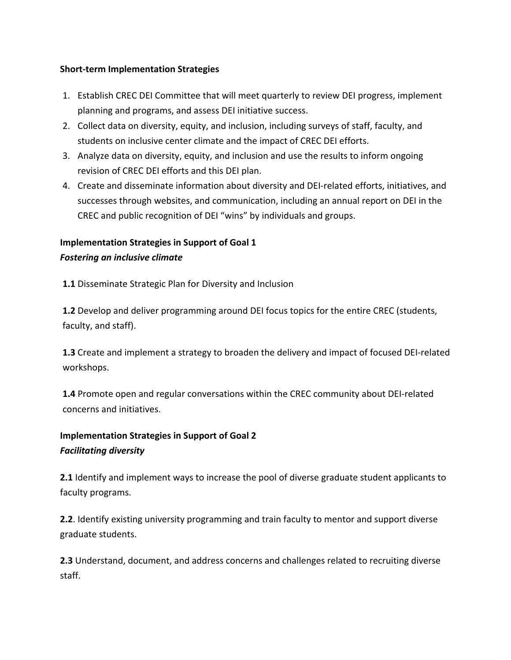#### **Short-term Implementation Strategies**

- 1. Establish CREC DEI Committee that will meet quarterly to review DEI progress, implement planning and programs, and assess DEI initiative success.
- 2. Collect data on diversity, equity, and inclusion, including surveys of staff, faculty, and students on inclusive center climate and the impact of CREC DEI efforts.
- 3. Analyze data on diversity, equity, and inclusion and use the results to inform ongoing revision of CREC DEI efforts and this DEI plan.
- 4. Create and disseminate information about diversity and DEI-related efforts, initiatives, and successes through websites, and communication, including an annual report on DEI in the CREC and public recognition of DEI "wins" by individuals and groups.

## **Implementation Strategies in Support of Goal 1** *Fostering an inclusive climate*

**1.1** Disseminate Strategic Plan for Diversity and Inclusion

**1.2** Develop and deliver programming around DEI focus topics for the entire CREC (students, faculty, and staff).

**1.3** Create and implement a strategy to broaden the delivery and impact of focused DEI-related workshops.

**1.4** Promote open and regular conversations within the CREC community about DEI-related concerns and initiatives.

# **Implementation Strategies in Support of Goal 2** *Facilitating diversity*

**2.1** Identify and implement ways to increase the pool of diverse graduate student applicants to faculty programs.

**2.2**. Identify existing university programming and train faculty to mentor and support diverse graduate students.

**2.3** Understand, document, and address concerns and challenges related to recruiting diverse staff.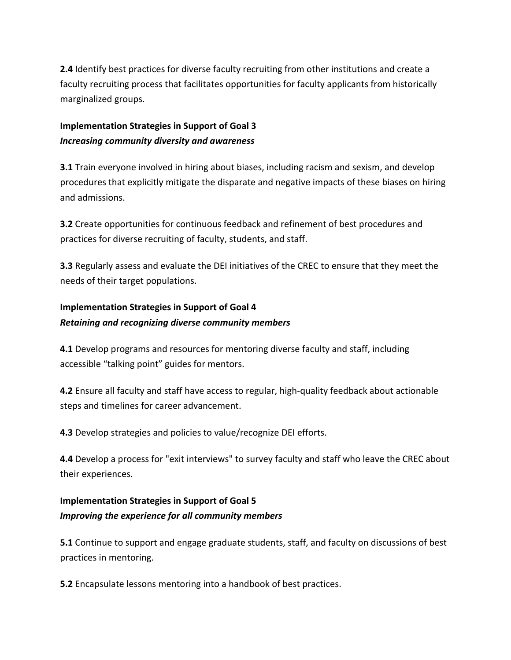**2.4** Identify best practices for diverse faculty recruiting from other institutions and create a faculty recruiting process that facilitates opportunities for faculty applicants from historically marginalized groups.

## **Implementation Strategies in Support of Goal 3** *Increasing community diversity and awareness*

**3.1** Train everyone involved in hiring about biases, including racism and sexism, and develop procedures that explicitly mitigate the disparate and negative impacts of these biases on hiring and admissions.

**3.2** Create opportunities for continuous feedback and refinement of best procedures and practices for diverse recruiting of faculty, students, and staff.

**3.3** Regularly assess and evaluate the DEI initiatives of the CREC to ensure that they meet the needs of their target populations.

# **Implementation Strategies in Support of Goal 4** *Retaining and recognizing diverse community members*

**4.1** Develop programs and resources for mentoring diverse faculty and staff, including accessible "talking point" guides for mentors.

**4.2** Ensure all faculty and staff have access to regular, high-quality feedback about actionable steps and timelines for career advancement.

**4.3** Develop strategies and policies to value/recognize DEI efforts.

**4.4** Develop a process for "exit interviews" to survey faculty and staff who leave the CREC about their experiences.

# **Implementation Strategies in Support of Goal 5** *Improving the experience for all community members*

**5.1** Continue to support and engage graduate students, staff, and faculty on discussions of best practices in mentoring.

**5.2** Encapsulate lessons mentoring into a handbook of best practices.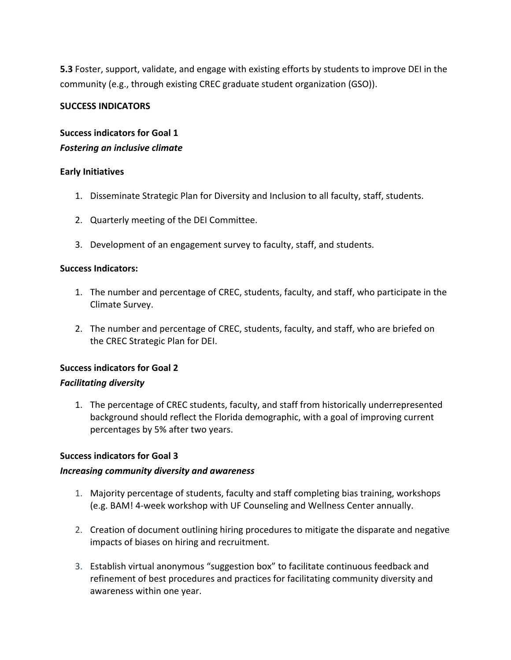**5.3** Foster, support, validate, and engage with existing efforts by students to improve DEI in the community (e.g., through existing CREC graduate student organization (GSO)).

#### **SUCCESS INDICATORS**

## **Success indicators for Goal 1** *Fostering an inclusive climate*

#### **Early Initiatives**

- 1. Disseminate Strategic Plan for Diversity and Inclusion to all faculty, staff, students.
- 2. Quarterly meeting of the DEI Committee.
- 3. Development of an engagement survey to faculty, staff, and students.

#### **Success Indicators:**

- 1. The number and percentage of CREC, students, faculty, and staff, who participate in the Climate Survey.
- 2. The number and percentage of CREC, students, faculty, and staff, who are briefed on the CREC Strategic Plan for DEI.

### **Success indicators for Goal 2**

#### *Facilitating diversity*

1. The percentage of CREC students, faculty, and staff from historically underrepresented background should reflect the Florida demographic, with a goal of improving current percentages by 5% after two years.

#### **Success indicators for Goal 3**

#### *Increasing community diversity and awareness*

- 1. Majority percentage of students, faculty and staff completing bias training, workshops (e.g. BAM! 4-week workshop with UF Counseling and Wellness Center annually.
- 2. Creation of document outlining hiring procedures to mitigate the disparate and negative impacts of biases on hiring and recruitment.
- 3. Establish virtual anonymous "suggestion box" to facilitate continuous feedback and refinement of best procedures and practices for facilitating community diversity and awareness within one year.